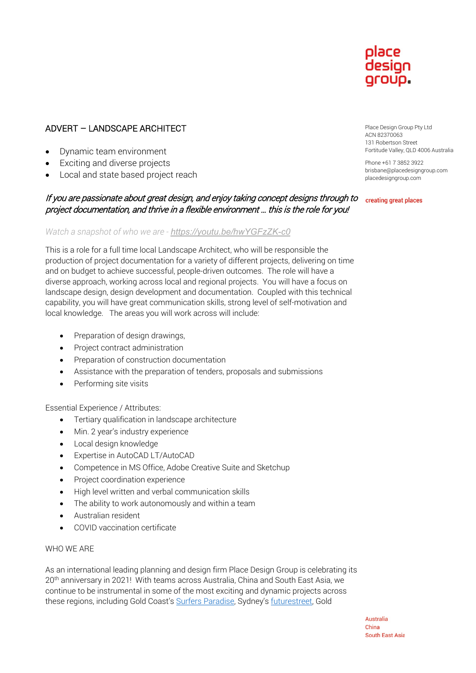

# ADVERT – LANDSCAPE ARCHITECT

- Dynamic team environment
- Exciting and diverse projects
- Local and state based project reach

# If you are passionate about great design, and enjoy taking concept designs through to creating great places project documentation, and thrive in a flexible environment … this is the role for you!

## *Watch a snapshot of who we are - <https://youtu.be/hwYGFzZK-c0>*

This is a role for a full time local Landscape Architect, who will be responsible the production of project documentation for a variety of different projects, delivering on time and on budget to achieve successful, people-driven outcomes. The role will have a diverse approach, working across local and regional projects. You will have a focus on landscape design, design development and documentation. Coupled with this technical capability, you will have great communication skills, strong level of self-motivation and local knowledge. The areas you will work across will include:

- Preparation of design drawings,
- Project contract administration
- Preparation of construction documentation
- Assistance with the preparation of tenders, proposals and submissions
- Performing site visits

### Essential Experience / Attributes:

- Tertiary qualification in landscape architecture
- Min. 2 year's industry experience
- Local design knowledge
- Expertise in AutoCAD LT/AutoCAD
- Competence in MS Office, Adobe Creative Suite and Sketchup
- Project coordination experience
- High level written and verbal communication skills
- The ability to work autonomously and within a team
- Australian resident
- COVID vaccination certificate

### WHO WE ARE

As an international leading planning and design firm Place Design Group is celebrating its 20<sup>th</sup> anniversary in 2021! With teams across Australia, China and South East Asia, we continue to be instrumental in some of the most exciting and dynamic projects across these regions, including Gold Coast's [Surfers Paradise,](https://www.youtube.com/watch?v=xTX2xUV4djc&t=7s) Sydney's [futurestreet,](http://www.smh.com.au/nsw/selfdriving-cars-talking-bins-and-maglev-train-vision-for-sydney-in-20-years-20171012-gyzc3s.html) Gold

Place Design Group Pty Ltd ACN 82370063 131 Robertson Street Fortitude Valley, QLD 4006 Australia

Phone +61 7 3852 3922 brisbane@placedesigngroup.com placedesigngroup.com

Australia China **South East Asia**